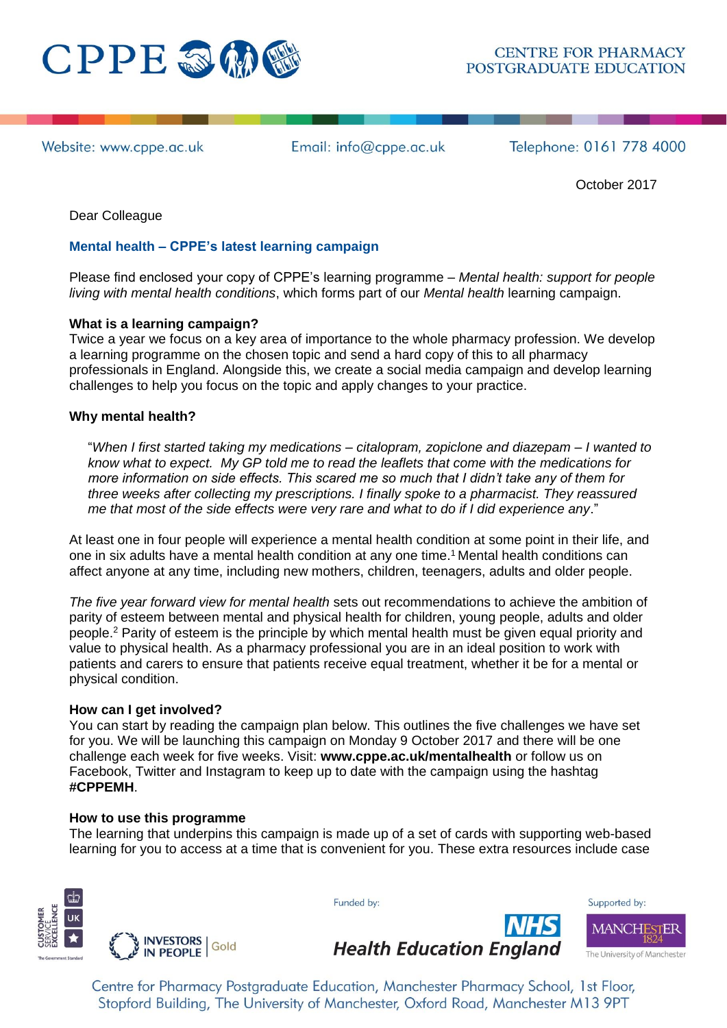

Website: www.cppe.ac.uk

Email: info@cppe.ac.uk

Telephone: 0161 778 4000

October 2017

Dear Colleague

# **Mental health – CPPE's latest learning campaign**

Please find enclosed your copy of CPPE's learning programme – *Mental health: support for people living with mental health conditions*, which forms part of our *Mental health* learning campaign.

# **What is a learning campaign?**

Twice a year we focus on a key area of importance to the whole pharmacy profession. We develop a learning programme on the chosen topic and send a hard copy of this to all pharmacy professionals in England. Alongside this, we create a social media campaign and develop learning challenges to help you focus on the topic and apply changes to your practice.

# **Why mental health?**

"*When I first started taking my medications – citalopram, zopiclone and diazepam – I wanted to know what to expect. My GP told me to read the leaflets that come with the medications for more information on side effects. This scared me so much that I didn't take any of them for three weeks after collecting my prescriptions. I finally spoke to a pharmacist. They reassured me that most of the side effects were very rare and what to do if I did experience any*."

At least one in four people will experience a mental health condition at some point in their life, and one in six adults have a mental health condition at any one time. <sup>1</sup> Mental health conditions can affect anyone at any time, including new mothers, children, teenagers, adults and older people.

*The five year forward view for mental health* sets out recommendations to achieve the ambition of parity of esteem between mental and physical health for children, young people, adults and older people.<sup>2</sup> Parity of esteem is the principle by which mental health must be given equal priority and value to physical health. As a pharmacy professional you are in an ideal position to work with patients and carers to ensure that patients receive equal treatment, whether it be for a mental or physical condition.

### **How can I get involved?**

You can start by reading the campaign plan below. This outlines the five challenges we have set for you. We will be launching this campaign on Monday 9 October 2017 and there will be one challenge each week for five weeks. Visit: **[www.cppe.ac.uk/mentalhealth](http://www.cppe.ac.uk/mentalhealth)** or follow us on Facebook, Twitter and Instagram to keep up to date with the campaign using the hashtag **#CPPEMH**.

### **How to use this programme**

The learning that underpins this campaign is made up of a set of cards with supporting web-based learning for you to access at a time that is convenient for you. These extra resources include case



Funded by:



Centre for Pharmacy Postgraduate Education, Manchester Pharmacy School, 1st Floor, Stopford Building, The University of Manchester, Oxford Road, Manchester M13 9PT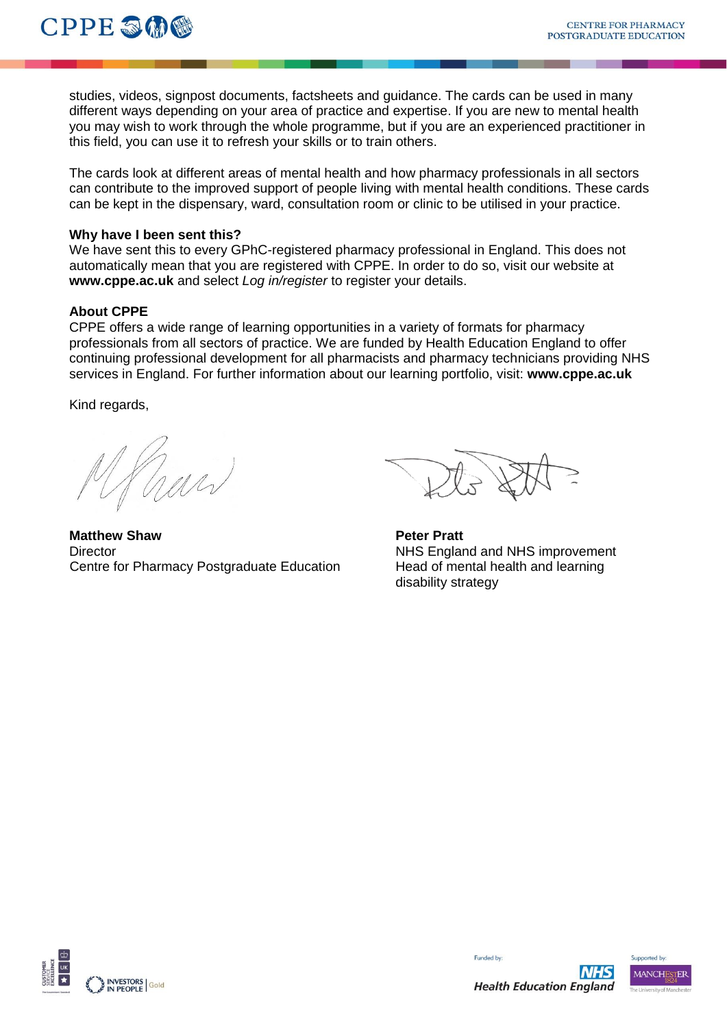studies, videos, signpost documents, factsheets and guidance. The cards can be used in many different ways depending on your area of practice and expertise. If you are new to mental health you may wish to work through the whole programme, but if you are an experienced practitioner in this field, you can use it to refresh your skills or to train others.

The cards look at different areas of mental health and how pharmacy professionals in all sectors can contribute to the improved support of people living with mental health conditions. These cards can be kept in the dispensary, ward, consultation room or clinic to be utilised in your practice.

### **Why have I been sent this?**

We have sent this to every GPhC-registered pharmacy professional in England. This does not automatically mean that you are registered with CPPE. In order to do so, visit our website at **[www.cppe.ac.uk](http://www.cppe.ac.uk/)** and select *Log in/register* to register your details.

# **About CPPE**

CPPE offers a wide range of learning opportunities in a variety of formats for pharmacy professionals from all sectors of practice. We are funded by Health Education England to offer continuing professional development for all pharmacists and pharmacy technicians providing NHS services in England. For further information about our learning portfolio, visit: **www.cppe.ac.uk**

Kind regards,

WW

**Matthew Shaw Peter Pratt Peter Pratt** Director NHS England and NHS improvement Centre for Pharmacy Postgraduate Education Head of mental health and learning

disability strategy





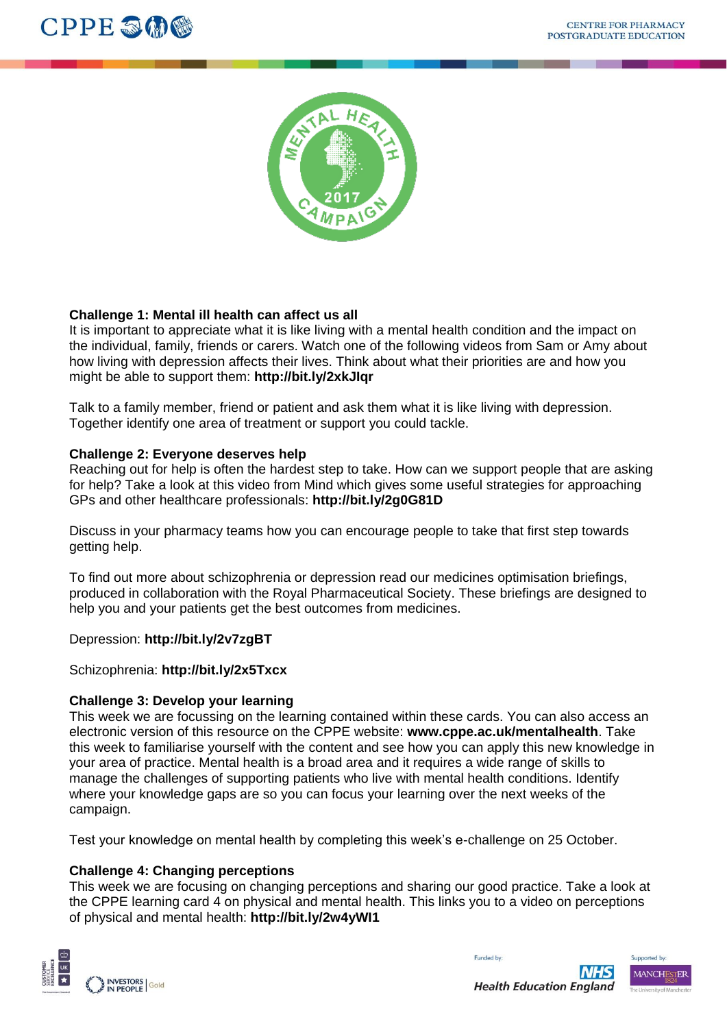



# **Challenge 1: Mental ill health can affect us all**

It is important to appreciate what it is like living with a mental health condition and the impact on the individual, family, friends or carers. Watch one of the following videos from Sam or Amy about how living with depression affects their lives. Think about what their priorities are and how you might be able to support them: **http://bit.ly/2xkJIqr**

Talk to a family member, friend or patient and ask them what it is like living with depression. Together identify one area of treatment or support you could tackle.

# **Challenge 2: Everyone deserves help**

Reaching out for help is often the hardest step to take. How can we support people that are asking for help? Take a look at this video from Mind which gives some useful strategies for approaching GPs and other healthcare professionals: **http://bit.ly/2g0G81D**

Discuss in your pharmacy teams how you can encourage people to take that first step towards getting help.

To find out more about schizophrenia or depression read our medicines optimisation briefings, produced in collaboration with the Royal Pharmaceutical Society. These briefings are designed to help you and your patients get the best outcomes from medicines.

Depression: **http://bit.ly/2v7zgBT**

Schizophrenia: **http://bit.ly/2x5Txcx**

### **Challenge 3: Develop your learning**

This week we are focussing on the learning contained within these cards. You can also access an electronic version of this resource on the CPPE website: **www.cppe.ac.uk/mentalhealth**. Take this week to familiarise yourself with the content and see how you can apply this new knowledge in your area of practice. Mental health is a broad area and it requires a wide range of skills to manage the challenges of supporting patients who live with mental health conditions. Identify where your knowledge gaps are so you can focus your learning over the next weeks of the campaign.

Test your knowledge on mental health by completing this week's e-challenge on 25 October.

# **Challenge 4: Changing perceptions**

This week we are focusing on changing perceptions and sharing our good practice. Take a look at the CPPE learning card 4 on physical and mental health. This links you to a video on perceptions of physical and mental health: **http://bit.ly/2w4yWI1**



Supported by: MANCHESTER

Funded by: